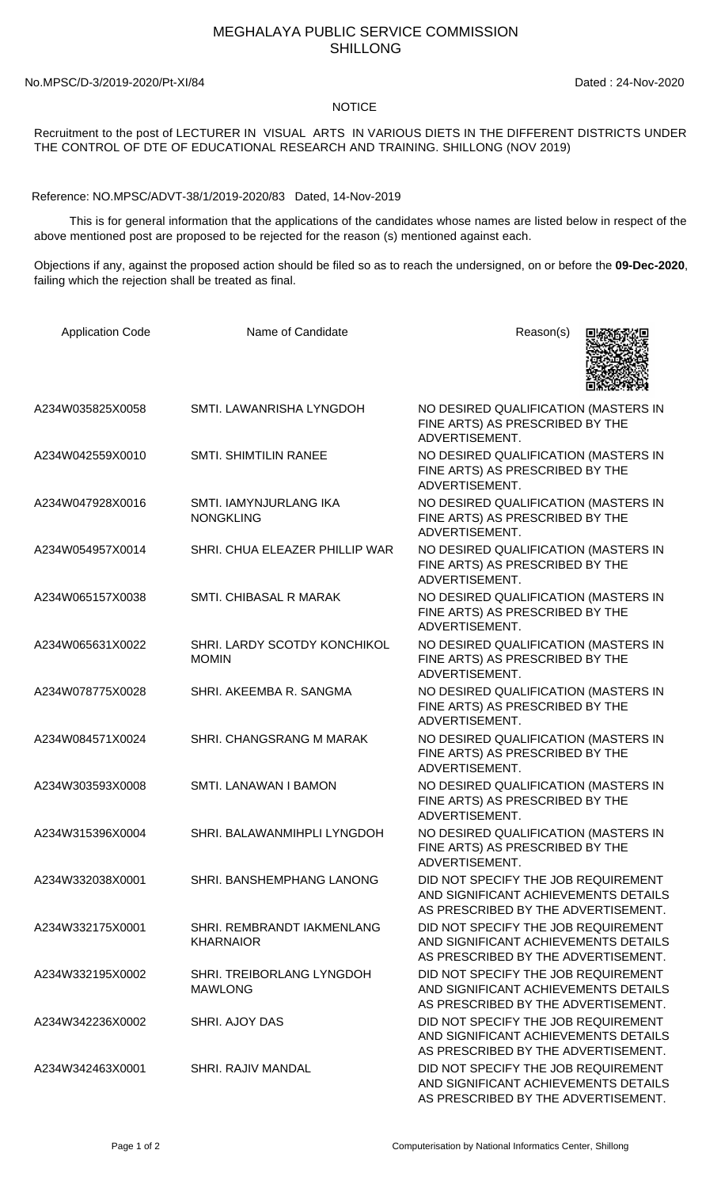## MEGHALAYA PUBLIC SERVICE COMMISSION SHILLONG

No.MPSC/D-3/2019-2020/Pt-XI/84 Dated : 24-Nov-2020

## **NOTICE**

Recruitment to the post of LECTURER IN VISUAL ARTS IN VARIOUS DIETS IN THE DIFFERENT DISTRICTS UNDER THE CONTROL OF DTE OF EDUCATIONAL RESEARCH AND TRAINING. SHILLONG (NOV 2019)

Reference: NO.MPSC/ADVT-38/1/2019-2020/83 Dated, 14-Nov-2019

 This is for general information that the applications of the candidates whose names are listed below in respect of the above mentioned post are proposed to be rejected for the reason (s) mentioned against each.

Objections if any, against the proposed action should be filed so as to reach the undersigned, on or before the **09-Dec-2020**, failing which the rejection shall be treated as final.

| <b>Application Code</b> | Name of Candidate                              | Reason(s)                                                                                                          |
|-------------------------|------------------------------------------------|--------------------------------------------------------------------------------------------------------------------|
| A234W035825X0058        | SMTI. LAWANRISHA LYNGDOH                       | NO DESIRED QUALIFICATION (MASTERS IN<br>FINE ARTS) AS PRESCRIBED BY THE<br>ADVERTISEMENT.                          |
| A234W042559X0010        | <b>SMTI. SHIMTILIN RANEE</b>                   | NO DESIRED QUALIFICATION (MASTERS IN<br>FINE ARTS) AS PRESCRIBED BY THE<br>ADVERTISEMENT.                          |
| A234W047928X0016        | SMTI. IAMYNJURLANG IKA<br><b>NONGKLING</b>     | NO DESIRED QUALIFICATION (MASTERS IN<br>FINE ARTS) AS PRESCRIBED BY THE<br>ADVERTISEMENT.                          |
| A234W054957X0014        | SHRI. CHUA ELEAZER PHILLIP WAR                 | NO DESIRED QUALIFICATION (MASTERS IN<br>FINE ARTS) AS PRESCRIBED BY THE<br>ADVERTISEMENT.                          |
| A234W065157X0038        | <b>SMTI. CHIBASAL R MARAK</b>                  | NO DESIRED QUALIFICATION (MASTERS IN<br>FINE ARTS) AS PRESCRIBED BY THE<br>ADVERTISEMENT.                          |
| A234W065631X0022        | SHRI. LARDY SCOTDY KONCHIKOL<br><b>MOMIN</b>   | NO DESIRED QUALIFICATION (MASTERS IN<br>FINE ARTS) AS PRESCRIBED BY THE<br>ADVERTISEMENT.                          |
| A234W078775X0028        | SHRI. AKEEMBA R. SANGMA                        | NO DESIRED QUALIFICATION (MASTERS IN<br>FINE ARTS) AS PRESCRIBED BY THE<br>ADVERTISEMENT.                          |
| A234W084571X0024        | SHRI. CHANGSRANG M MARAK                       | NO DESIRED QUALIFICATION (MASTERS IN<br>FINE ARTS) AS PRESCRIBED BY THE<br>ADVERTISEMENT.                          |
| A234W303593X0008        | <b>SMTI. LANAWAN I BAMON</b>                   | NO DESIRED QUALIFICATION (MASTERS IN<br>FINE ARTS) AS PRESCRIBED BY THE<br>ADVERTISEMENT.                          |
| A234W315396X0004        | SHRI. BALAWANMIHPLI LYNGDOH                    | NO DESIRED QUALIFICATION (MASTERS IN<br>FINE ARTS) AS PRESCRIBED BY THE<br>ADVERTISEMENT.                          |
| A234W332038X0001        | SHRI. BANSHEMPHANG LANONG                      | DID NOT SPECIFY THE JOB REQUIREMENT<br>AND SIGNIFICANT ACHIEVEMENTS DETAILS<br>AS PRESCRIBED BY THE ADVERTISEMENT. |
| A234W332175X0001        | SHRI. REMBRANDT IAKMENLANG<br><b>KHARNAIOR</b> | DID NOT SPECIFY THE JOB REQUIREMENT<br>AND SIGNIFICANT ACHIEVEMENTS DETAILS<br>AS PRESCRIBED BY THE ADVERTISEMENT. |
| A234W332195X0002        | SHRI. TREIBORLANG LYNGDOH<br><b>MAWLONG</b>    | DID NOT SPECIFY THE JOB REQUIREMENT<br>AND SIGNIFICANT ACHIEVEMENTS DETAILS<br>AS PRESCRIBED BY THE ADVERTISEMENT. |
| A234W342236X0002        | SHRI. AJOY DAS                                 | DID NOT SPECIFY THE JOB REQUIREMENT<br>AND SIGNIFICANT ACHIEVEMENTS DETAILS<br>AS PRESCRIBED BY THE ADVERTISEMENT. |
| A234W342463X0001        | SHRI. RAJIV MANDAL                             | DID NOT SPECIFY THE JOB REQUIREMENT<br>AND SIGNIFICANT ACHIEVEMENTS DETAILS<br>AS PRESCRIBED BY THE ADVERTISEMENT. |